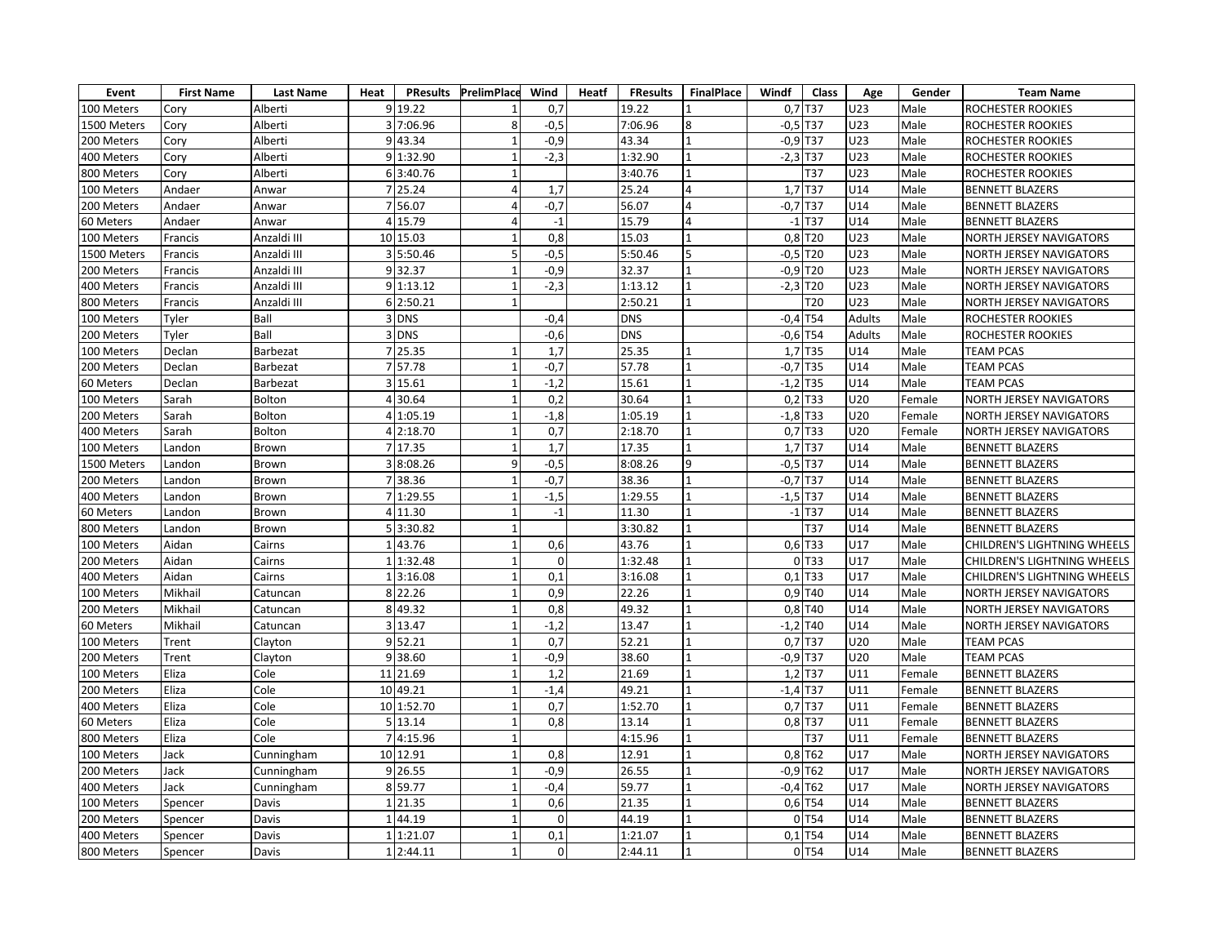| Event       | <b>First Name</b> | <b>Last Name</b> | Heat     |            | <b>PResults PrelimPlace</b> | Wind             | Heatf | <b>FResults</b> | <b>FinalPlace</b> | Windf      | Class                 | Age           | Gender | <b>Team Name</b>                   |
|-------------|-------------------|------------------|----------|------------|-----------------------------|------------------|-------|-----------------|-------------------|------------|-----------------------|---------------|--------|------------------------------------|
| 100 Meters  | Cory              | Alberti          |          | 9 19.22    |                             | 0,7              |       | 19.22           |                   |            | 0,7 T37               | U23           | Male   | ROCHESTER ROOKIES                  |
| 1500 Meters | Cory              | Alberti          |          | 3 7:06.96  | 8                           | $-0,5$           |       | 7:06.96         | 8                 | $-0,5$ T37 |                       | U23           | Male   | ROCHESTER ROOKIES                  |
| 200 Meters  | Cory              | Alberti          |          | 9 43.34    | $\mathbf{1}$                | $-0,9$           |       | 43.34           |                   | $-0,9$ T37 |                       | U23           | Male   | ROCHESTER ROOKIES                  |
| 400 Meters  | Cory              | Alberti          |          | 91:32.90   | $\mathbf{1}$                | $-2,3$           |       | 1:32.90         |                   | $-2,3$ T37 |                       | U23           | Male   | ROCHESTER ROOKIES                  |
| 800 Meters  | Cory              | Alberti          |          | 6 3:40.76  | $\mathbf{1}$                |                  |       | 3:40.76         |                   |            | T37                   | U23           | Male   | ROCHESTER ROOKIES                  |
| 100 Meters  | Andaer            | Anwar            |          | 7 25.24    | $\overline{4}$              | 1,7              |       | 25.24           | $\overline{4}$    |            | 1,7 T37               | U14           | Male   | <b>BENNETT BLAZERS</b>             |
| 200 Meters  | Andaer            | Anwar            |          | 7 56.07    | 4                           | $-0,7$           |       | 56.07           | $\Delta$          | $-0,7$ T37 |                       | U14           | Male   | <b>BENNETT BLAZERS</b>             |
| 60 Meters   | Andaer            | Anwar            |          | 4 15.79    | 4                           | $-1$             |       | 15.79           | 4                 |            | $-1$ T <sub>37</sub>  | U14           | Male   | <b>BENNETT BLAZERS</b>             |
| 100 Meters  | Francis           | Anzaldi III      |          | 10 15.03   | $\mathbf{1}$                | 0,8              |       | 15.03           |                   |            | 0,8 T20               | U23           | Male   | NORTH JERSEY NAVIGATORS            |
| 1500 Meters | Francis           | Anzaldi III      |          | 3 5:50.46  | 5 <sub>5</sub>              | $-0,5$           |       | 5:50.46         | 5                 | $-0,5$ T20 |                       | U23           | Male   | NORTH JERSEY NAVIGATORS            |
| 200 Meters  | Francis           | Anzaldi III      |          | 9 32.37    | $\mathbf{1}$                | $-0,9$           |       | 32.37           |                   | $-0,9$ T20 |                       | U23           | Male   | NORTH JERSEY NAVIGATORS            |
| 400 Meters  | Francis           | Anzaldi III      |          | 9 1:13.12  | $\mathbf{1}$                | $-2,3$           |       | 1:13.12         |                   | $-2,3$ T20 |                       | U23           | Male   | <b>NORTH JERSEY NAVIGATORS</b>     |
| 800 Meters  | Francis           | Anzaldi III      |          | 6 2:50.21  | $\mathbf{1}$                |                  |       | 2:50.21         |                   |            | T <sub>20</sub>       | U23           | Male   | <b>NORTH JERSEY NAVIGATORS</b>     |
| 100 Meters  | Tyler             | Ball             |          | 3 DNS      |                             | $-0,4$           |       | <b>DNS</b>      |                   | $-0,4$ T54 |                       | <b>Adults</b> | Male   | ROCHESTER ROOKIES                  |
| 200 Meters  | Tyler             | Ball             |          | 3 DNS      |                             | $-0,6$           |       | <b>DNS</b>      |                   | $-0,6$ T54 |                       | Adults        | Male   | ROCHESTER ROOKIES                  |
| 100 Meters  | Declan            | Barbezat         |          | 7 25.35    | $\mathbf{1}$                | 1,7              |       | 25.35           |                   |            | 1,7 T35               | U14           | Male   | <b>TEAM PCAS</b>                   |
| 200 Meters  | Declan            | Barbezat         |          | 7 57.78    | $\mathbf{1}$                | $-0,7$           |       | 57.78           |                   | $-0,7$ T35 |                       | U14           | Male   | <b>TEAM PCAS</b>                   |
| 60 Meters   | Declan            | Barbezat         |          | 3 15.61    | $\mathbf{1}$                | $-1,2$           |       | 15.61           |                   | $-1,2$ T35 |                       | U14           | Male   | <b>TEAM PCAS</b>                   |
| 100 Meters  | Sarah             | Bolton           |          | 4 30.64    | $\mathbf{1}$                | 0,2              |       | 30.64           |                   |            | $0,2$ T33             | U20           | Female | NORTH JERSEY NAVIGATORS            |
| 200 Meters  | Sarah             | Bolton           |          | 4 1:05.19  | $\mathbf{1}$                | $-1,8$           |       | 1:05.19         |                   | $-1,8$ T33 |                       | U20           | Female | NORTH JERSEY NAVIGATORS            |
| 400 Meters  | Sarah             | Bolton           |          | 4 2:18.70  | $\mathbf{1}$                | 0,7              |       | 2:18.70         |                   |            | $0,7$ T33             | U20           | Female | NORTH JERSEY NAVIGATORS            |
| 100 Meters  | Landon            | Brown            |          | 7 17.35    | $\mathbf{1}$                | 1,7              |       | 17.35           |                   |            | 1,7 T37               | U14           | Male   | <b>BENNETT BLAZERS</b>             |
| 1500 Meters | Landon            | Brown            |          | 3 8:08.26  | 9                           | $-0,5$           |       | 8:08.26         | 9                 | $-0,5$ T37 |                       | U14           | Male   | <b>BENNETT BLAZERS</b>             |
| 200 Meters  | Landon            | Brown            |          | 7 38.36    | $\mathbf{1}$                | $-0,7$           |       | 38.36           | $\mathbf{1}$      | $-0,7$ T37 |                       | U14           | Male   | <b>BENNETT BLAZERS</b>             |
| 400 Meters  | Landon            | Brown            |          | 7 1:29.55  | $\mathbf{1}$                | $-1,5$           |       | 1:29.55         |                   | $-1,5$ T37 |                       | U14           | Male   | <b>BENNETT BLAZERS</b>             |
| 60 Meters   | Landon            | Brown            |          | 4 11.30    | $\mathbf{1}$                | $-1$             |       | 11.30           |                   |            | $-1$ T37              | U14           | Male   | <b>BENNETT BLAZERS</b>             |
| 800 Meters  | Landon            | Brown            |          | 53:30.82   | $\mathbf{1}$                |                  |       | 3:30.82         |                   |            | T37                   | U14           | Male   | <b>BENNETT BLAZERS</b>             |
| 100 Meters  | Aidan             | Cairns           |          | 143.76     | $\mathbf 1$                 | 0,6              |       | 43.76           |                   | 0,6 T33    |                       | U17           | Male   | <b>CHILDREN'S LIGHTNING WHEELS</b> |
| 200 Meters  | Aidan             | Cairns           |          | 1 1:32.48  | $\mathbf{1}$                | $\Omega$         |       | 1:32.48         |                   |            | 0 T33                 | U17           | Male   | CHILDREN'S LIGHTNING WHEELS        |
| 400 Meters  | Aidan             | Cairns           |          | 13:16.08   | $\mathbf{1}$                | $\overline{0,1}$ |       | 3:16.08         |                   |            | $0,1$ T33             | U17           | Male   | <b>CHILDREN'S LIGHTNING WHEELS</b> |
| 100 Meters  | Mikhail           | Catuncan         |          | 8 22.26    | $\mathbf{1}$                | 0,9              |       | 22.26           |                   |            | $0,9$ T <sub>40</sub> | U14           | Male   | NORTH JERSEY NAVIGATORS            |
| 200 Meters  | Mikhail           | Catuncan         |          | 8 49.32    | $\mathbf{1}$                | 0,8              |       | 49.32           |                   |            | 0,8 T40               | U14           | Male   | NORTH JERSEY NAVIGATORS            |
| 60 Meters   | Mikhail           | Catuncan         |          | 3 13.47    | $\mathbf{1}$                | $-1,2$           |       | 13.47           |                   | $-1,2$ T40 |                       | U14           | Male   | <b>NORTH JERSEY NAVIGATORS</b>     |
| 100 Meters  | Trent             | Clayton          |          | 952.21     | $\mathbf{1}$                | 0,7              |       | 52.21           |                   |            | $0,7$ T37             | U20           | Male   | <b>TEAM PCAS</b>                   |
| 200 Meters  | Trent             | Clayton          |          | 938.60     | $\mathbf{1}$                | $-0,9$           |       | 38.60           |                   | $-0,9$ T37 |                       | U20           | Male   | <b>TEAM PCAS</b>                   |
| 100 Meters  | Eliza             | Cole             |          | 11 21.69   | $\mathbf{1}$                | 1,2              |       | 21.69           |                   | $1,2$ T37  |                       | U11           | Female | <b>BENNETT BLAZERS</b>             |
| 200 Meters  | Eliza             | Cole             |          | 10 49.21   | $\mathbf{1}$                | $-1,4$           |       | 49.21           |                   | $-1,4$ T37 |                       | U11           | Female | <b>BENNETT BLAZERS</b>             |
| 400 Meters  | Eliza             | Cole             |          | 10 1:52.70 | $\mathbf{1}$                | 0,7              |       | 1:52.70         |                   |            | $0,7$ T37             | U11           | Female | <b>BENNETT BLAZERS</b>             |
| 60 Meters   | Eliza             | Cole             |          | 5 13.14    | $\mathbf{1}$                | 0,8              |       | 13.14           |                   |            | $0,8$ T37             | U11           | Female | <b>BENNETT BLAZERS</b>             |
| 800 Meters  | Eliza             | Cole             |          | 7 4:15.96  | $\mathbf{1}$                |                  |       | 4:15.96         |                   |            | T37                   | U11           | Female | <b>BENNETT BLAZERS</b>             |
| 100 Meters  | Jack              | Cunningham       |          | 10 12.91   | $\mathbf{1}$                | 0,8              |       | 12.91           |                   |            | $0,8$ T62             | U17           | Male   | NORTH JERSEY NAVIGATORS            |
| 200 Meters  | Jack              | Cunningham       |          | 9 26.55    | $\mathbf{1}$                | $-0,9$           |       | 26.55           |                   | $-0,9$ T62 |                       | U17           | Male   | NORTH JERSEY NAVIGATORS            |
| 400 Meters  | Jack              | Cunningham       |          | 8 59.77    | $\mathbf{1}$                | $-0,4$           |       | 59.77           |                   | $-0,4$ T62 |                       | U17           | Male   | NORTH JERSEY NAVIGATORS            |
| 100 Meters  | Spencer           | Davis            |          | 1 21.35    | $\mathbf{1}$                | 0,6              |       | 21.35           |                   |            | 0,6 T54               | U14           | Male   | <b>BENNETT BLAZERS</b>             |
| 200 Meters  | Spencer           | Davis            | $1\vert$ | 44.19      | $\mathbf{1}$                | $\mathbf 0$      |       | 44.19           |                   |            | 0 T54                 | U14           | Male   | <b>BENNETT BLAZERS</b>             |
| 400 Meters  | Spencer           | Davis            |          | 1 1:21.07  | $\mathbf{1}$                | 0,1              |       | 1:21.07         |                   |            | $0,1$ T54             | U14           | Male   | <b>BENNETT BLAZERS</b>             |
| 800 Meters  | Spencer           | Davis            |          | 1 2:44.11  | $\mathbf{1}$                | $\mathbf 0$      |       | 2:44.11         |                   |            | $0$ T <sub>54</sub>   | U14           | Male   | <b>BENNETT BLAZERS</b>             |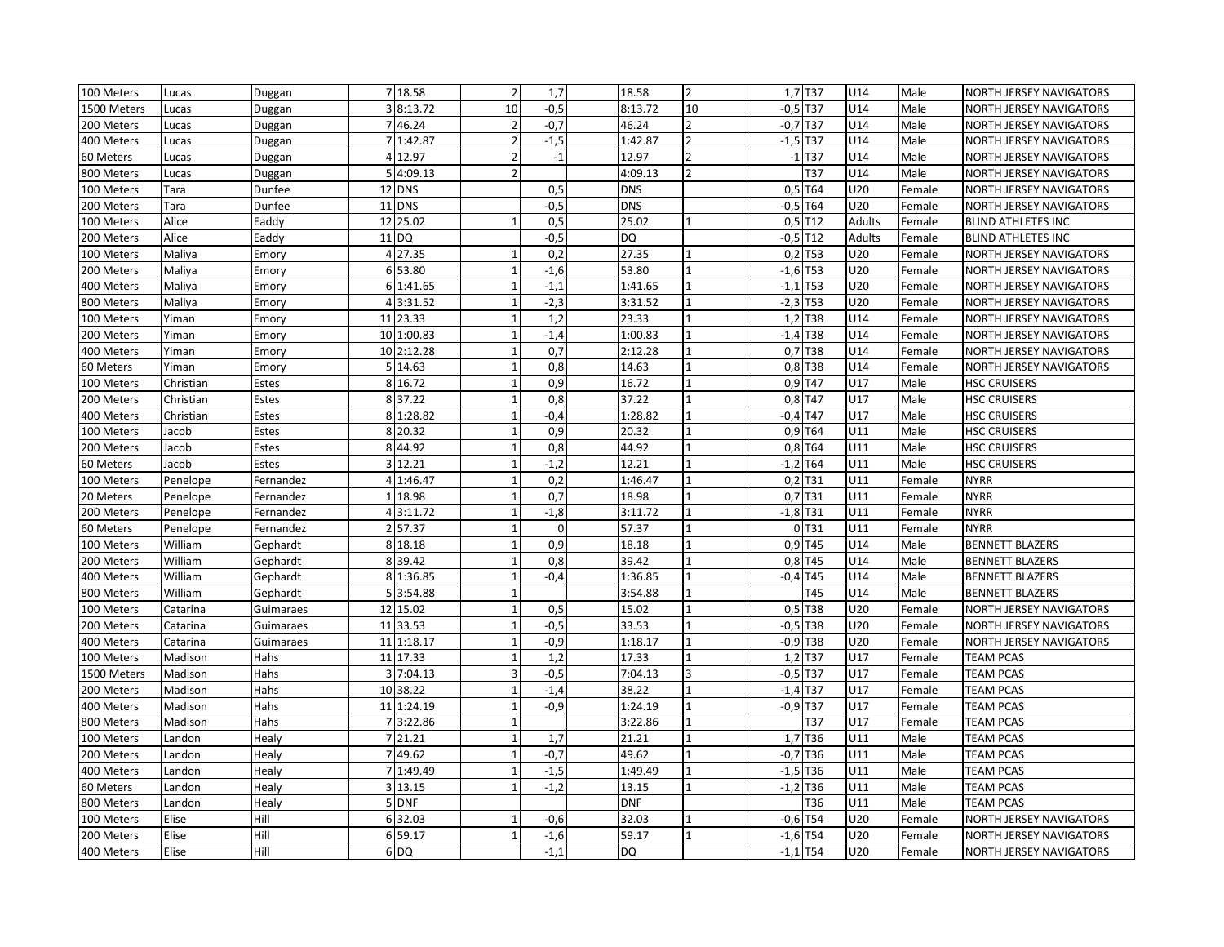| 100 Meters  | Lucas     | Duggan       | 7 18.58       | $\overline{2}$           | 1,7         | 18.58      | $\overline{2}$           |            | 1,7 T37   | U14           | Male   | NORTH JERSEY NAVIGATORS        |
|-------------|-----------|--------------|---------------|--------------------------|-------------|------------|--------------------------|------------|-----------|---------------|--------|--------------------------------|
| 1500 Meters | Lucas     | Duggan       | 3 8:13.72     | 10                       | $-0,5$      | 8:13.72    | 10                       | $-0,5$ T37 |           | U14           | Male   | NORTH JERSEY NAVIGATORS        |
| 200 Meters  | Lucas     | Duggan       | 46.24         | $\overline{2}$           | $-0,7$      | 46.24      |                          | $-0,7$ T37 |           | U14           | Male   | NORTH JERSEY NAVIGATORS        |
| 400 Meters  | Lucas     | Duggan       | 7 1:42.87     | $\overline{2}$           | $-1,5$      | 1:42.87    | $\overline{\phantom{a}}$ | $-1,5$ T37 |           | U14           | Male   | NORTH JERSEY NAVIGATORS        |
| 60 Meters   | Lucas     | Duggan       | 4 12.97       | $\overline{2}$           | $-1$        | 12.97      | $\overline{2}$           |            | $-1$ T37  | U14           | Male   | NORTH JERSEY NAVIGATORS        |
| 800 Meters  | Lucas     | Duggan       | 5 4:09.13     | $\overline{2}$           |             | 4:09.13    | $\overline{2}$           |            | T37       | U14           | Male   | NORTH JERSEY NAVIGATORS        |
| 100 Meters  | Tara      | Dunfee       | 12 DNS        |                          | 0,5         | <b>DNS</b> |                          |            | $0.5$ T64 | U20           | Female | NORTH JERSEY NAVIGATORS        |
| 200 Meters  | Tara      | Dunfee       | 11 DNS        |                          | $-0,5$      | <b>DNS</b> |                          | $-0,5$ T64 |           | U20           | Female | NORTH JERSEY NAVIGATORS        |
| 100 Meters  | Alice     | Eaddy        | 12 25.02      |                          | 0,5         | 25.02      |                          |            | $0,5$ T12 | <b>Adults</b> | Female | <b>BLIND ATHLETES INC</b>      |
| 200 Meters  | Alice     | Eaddy        | $11$ DQ       |                          | $-0,5$      | <b>DQ</b>  |                          | $-0,5$ T12 |           | <b>Adults</b> | Female | <b>BLIND ATHLETES INC</b>      |
| 100 Meters  | Maliya    | Emory        | 4 27.35       | $\overline{1}$           | 0,2         | 27.35      |                          |            | $0,2$ T53 | U20           | Female | <b>NORTH JERSEY NAVIGATORS</b> |
| 200 Meters  | Maliya    | Emory        | 6 53.80       |                          | $-1,6$      | 53.80      |                          | $-1,6$ T53 |           | U20           | Female | NORTH JERSEY NAVIGATORS        |
| 400 Meters  | Maliya    | Emory        | 6 1:41.65     | $\overline{1}$           | $-1,1$      | 1:41.65    |                          | $-1,1$ T53 |           | U20           | Female | NORTH JERSEY NAVIGATORS        |
| 800 Meters  | Maliya    | Emory        | 4 3:31.52     | $\mathbf{1}$             | $-2,3$      | 3:31.52    |                          | $-2,3$ T53 |           | U20           | Female | NORTH JERSEY NAVIGATORS        |
| 100 Meters  | Yiman     | Emory        | 11 23.33      | $\mathbf{1}$             | 1,2         | 23.33      |                          |            | 1,2 T38   | U14           | Female | NORTH JERSEY NAVIGATORS        |
| 200 Meters  | Yiman     | Emory        | 10 1:00.83    | $\overline{1}$           | $-1,4$      | 1:00.83    |                          | $-1,4$ T38 |           | U14           | Female | NORTH JERSEY NAVIGATORS        |
| 400 Meters  | Yiman     | Emory        | 10 2:12.28    | $\overline{1}$           | 0,7         | 2:12.28    |                          |            | 0,7 T38   | U14           | Female | NORTH JERSEY NAVIGATORS        |
| 60 Meters   | Yiman     | Emory        | 5 14.63       | $\overline{1}$           | 0,8         | 14.63      |                          |            | 0,8 T38   | U14           | Female | NORTH JERSEY NAVIGATORS        |
| 100 Meters  | Christian | Estes        | 8 16.72       | $\mathbf{1}$             | 0,9         | 16.72      |                          |            | $0,9$ T47 | U17           | Male   | <b>HSC CRUISERS</b>            |
| 200 Meters  | Christian | Estes        | 837.22        | $\mathbf{1}$             | 0,8         | 37.22      |                          |            | $0,8$ T47 | U17           | Male   | <b>HSC CRUISERS</b>            |
| 400 Meters  | Christian | Estes        | 8 1:28.82     | $\overline{1}$           | $-0,4$      | 1:28.82    |                          | $-0,4$ T47 |           | U17           | Male   | <b>HSC CRUISERS</b>            |
| 100 Meters  | Jacob     | Estes        | 8 20.32       | $\mathbf{1}$             | 0,9         | 20.32      |                          |            | 0,9 T64   | U11           | Male   | <b>HSC CRUISERS</b>            |
| 200 Meters  | Jacob     | Estes        | 8 44.92       | $\mathbf{1}$             | 0,8         | 44.92      |                          |            | $0,8$ T64 | U11           | Male   | <b>HSC CRUISERS</b>            |
| 60 Meters   | Jacob     | <b>Estes</b> | 3 12.21       | $\mathbf{1}$             | $-1,2$      | 12.21      |                          | $-1,2$ T64 |           | U11           | Male   | <b>HSC CRUISERS</b>            |
| 100 Meters  | Penelope  | Fernandez    | 4 1:46.47     | $\mathbf{1}$             | 0,2         | 1:46.47    |                          |            | $0,2$ T31 | U11           | Female | <b>NYRR</b>                    |
| 20 Meters   | Penelope  | Fernandez    | 18.98         | $\overline{1}$           | 0,7         | 18.98      |                          |            | 0,7 T31   | U11           | Female | <b>NYRR</b>                    |
| 200 Meters  | Penelope  | Fernandez    | 4 3:11.72     | $\mathbf{1}$             | $-1,8$      | 3:11.72    |                          | $-1,8$ T31 |           | U11           | Female | <b>NYRR</b>                    |
| 60 Meters   | Penelope  | Fernandez    | 2 57.37       | $\overline{1}$           | $\mathbf 0$ | 57.37      |                          |            | 0T31      | U11           | Female | <b>NYRR</b>                    |
| 100 Meters  | William   | Gephardt     | 8 18.18       | $\mathbf{1}$             | 0,9         | 18.18      |                          |            | 0,9 T45   | U14           | Male   | <b>BENNETT BLAZERS</b>         |
| 200 Meters  | William   | Gephardt     | 8 39.42       | 1                        | 0,8         | 39.42      |                          |            | $0,8$ T45 | U14           | Male   | <b>BENNETT BLAZERS</b>         |
| 400 Meters  | William   | Gephardt     | 8 1:36.85     | $\overline{1}$           | $-0,4$      | 1:36.85    |                          | $-0,4$ T45 |           | U14           | Male   | <b>BENNETT BLAZERS</b>         |
| 800 Meters  | William   | Gephardt     | 5 3:54.88     | $\overline{1}$           |             | 3:54.88    |                          |            | T45       | U14           | Male   | <b>BENNETT BLAZERS</b>         |
| 100 Meters  | Catarina  | Guimaraes    | 12 15.02      | $\overline{1}$           | 0,5         | 15.02      |                          |            | 0,5 T38   | U20           | Female | NORTH JERSEY NAVIGATORS        |
| 200 Meters  | Catarina  | Guimaraes    | 11 33.53      | $\overline{1}$           | $-0,5$      | 33.53      |                          | $-0,5$ T38 |           | U20           | Female | NORTH JERSEY NAVIGATORS        |
| 400 Meters  | Catarina  | Guimaraes    | 1:18.17<br>11 | $\overline{1}$           | $-0,9$      | 1:18.17    |                          | $-0,9$ T38 |           | U20           | Female | NORTH JERSEY NAVIGATORS        |
| 100 Meters  | Madison   | Hahs         | 11 17.33      | $\overline{\phantom{a}}$ | 1,2         | 17.33      |                          |            | $1,2$ T37 | U17           | Female | <b>TEAM PCAS</b>               |
| 1500 Meters | Madison   | Hahs         | 3 7:04.13     | $\overline{\mathbf{a}}$  | $-0,5$      | 7:04.13    | $\overline{\mathbf{a}}$  | $-0,5$ T37 |           | U17           | Female | <b>TEAM PCAS</b>               |
| 200 Meters  | Madison   | Hahs         | 10 38.22      | $\overline{1}$           | $-1,4$      | 38.22      |                          | $-1,4$ T37 |           | U17           | Female | <b>TEAM PCAS</b>               |
| 400 Meters  | Madison   | Hahs         | 11 1:24.19    | $\overline{1}$           | $-0,9$      | 1:24.19    |                          | $-0,9$ T37 |           | U17           | Female | <b>TEAM PCAS</b>               |
| 800 Meters  | Madison   | Hahs         | 73:22.86      | 1                        |             | 3:22.86    |                          |            | T37       | U17           | Female | <b>TEAM PCAS</b>               |
| 100 Meters  | Landon    | Healy        | 7 21.21       | $\overline{1}$           | 1,7         | 21.21      |                          |            | 1,7 T36   | U11           | Male   | <b>TEAM PCAS</b>               |
| 200 Meters  | Landon    | Healy        | 7 49.62       | $\overline{1}$           | $-0,7$      | 49.62      |                          | $-0,7$ T36 |           | U11           | Male   | <b>TEAM PCAS</b>               |
| 400 Meters  | Landon    | Healy        | 7 1:49.49     | $\overline{1}$           | $-1,5$      | 1:49.49    |                          | $-1,5$ T36 |           | U11           | Male   | <b>TEAM PCAS</b>               |
| 60 Meters   | Landon    | Healy        | 3 13.15       | 1                        | $-1,2$      | 13.15      |                          | $-1,2$ T36 |           | U11           | Male   | <b>TEAM PCAS</b>               |
| 800 Meters  | Landon    | Healy        | 5 DNF         |                          |             | <b>DNF</b> |                          |            | T36       | U11           | Male   | <b>TEAM PCAS</b>               |
| 100 Meters  | Elise     | Hill         | 6 32.03       | $\overline{\phantom{a}}$ | $-0,6$      | 32.03      |                          | $-0,6$ T54 |           | U20           | Female | NORTH JERSEY NAVIGATORS        |
| 200 Meters  | Elise     | Hill         | 6 59.17       | 1                        | $-1,6$      | 59.17      |                          | $-1,6$ T54 |           | U20           | Female | <b>NORTH JERSEY NAVIGATORS</b> |
| 400 Meters  | Elise     | Hill         | 6 DQ          |                          | $-1,1$      | <b>DQ</b>  |                          | $-1,1$ T54 |           | U20           | Female | NORTH JERSEY NAVIGATORS        |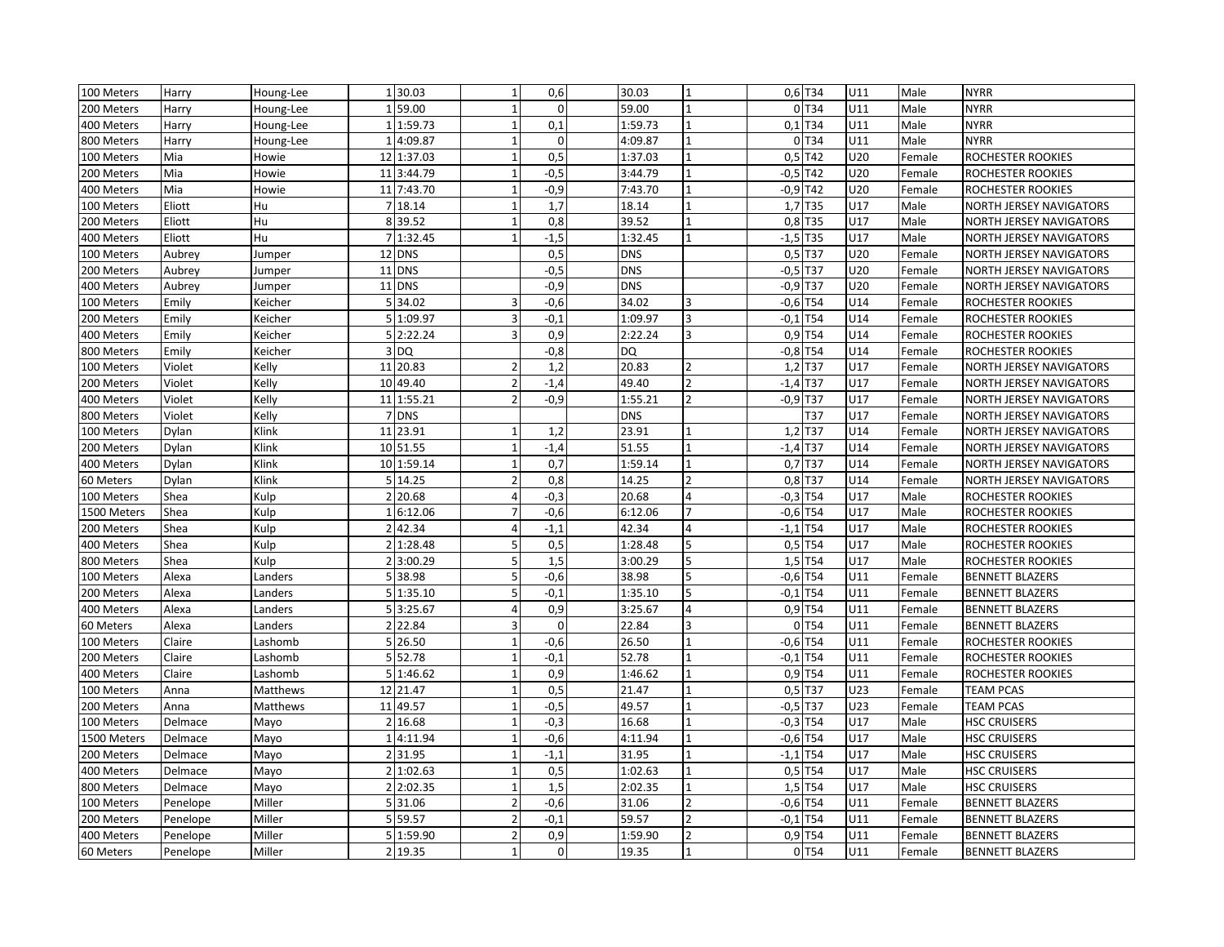| 159.00<br>0T34<br>200 Meters<br>Harry<br>$\mathbf 0$<br>59.00<br>$\overline{1}$<br>U11<br>Male<br><b>NYRR</b><br>Houng-Lee<br>$\overline{1}$<br>0,1<br>U11<br>1:59.73<br>1:59.73<br>$0,1$ T34<br>Male<br><b>NYRR</b><br>400 Meters<br>Harry<br>Houng-Lee<br>$\mathbf{1}$<br>$\mathbf 0$<br>$0$ T <sub>34</sub><br>U11<br>Male<br><b>NYRR</b><br>800 Meters<br>Harry<br>Houng-Lee<br>4:09.87<br>4:09.87<br>$\mathbf{1}$<br>0,5<br>$0,5$ T42<br>U20<br>100 Meters<br>Mia<br>1:37.03<br>1:37.03<br>ROCHESTER ROOKIES<br>Howie<br>12<br>$\mathbf{1}$<br>Female<br>$-0,5$ T42<br>Mia<br>$-0,5$<br>3:44.79<br>U20<br>200 Meters<br>Howie<br>11<br>3:44.79<br>Female<br>ROCHESTER ROOKIES<br>$\mathbf{1}$<br>$-0,9$ T42<br>$-0,9$<br>Mia<br>7:43.70<br>7:43.70<br>U20<br>ROCHESTER ROOKIES<br>400 Meters<br>Howie<br>11<br>$\mathbf{1}$<br>Female<br>1<br>1,7<br>Eliott<br>18.14<br>1,7 T35<br>U17<br>100 Meters<br>Hu<br>$\overline{7}$<br>$\mathbf{1}$<br>18.14<br>Male<br>NORTH JERSEY NAVIGATORS<br>39.52<br>0,8 T35<br>U17<br>200 Meters<br>Eliott<br>Hu<br>8 39.52<br>0,8<br>Male<br>NORTH JERSEY NAVIGATORS<br>$-1,5$<br>Eliott<br>Hu<br>1:32.45<br>1:32.45<br>$-1,5$ T35<br>U17<br>Male<br>NORTH JERSEY NAVIGATORS<br>400 Meters<br>$\overline{7}$<br>0,5<br>$0,5$ T37<br>U20<br>100 Meters<br>Aubrey<br>12 DNS<br><b>DNS</b><br>Female<br>NORTH JERSEY NAVIGATORS<br>Jumper<br>$-0,5$<br>$-0,5$ T37<br>11 DNS<br><b>DNS</b><br>U20<br>200 Meters<br>Aubrey<br>Female<br>NORTH JERSEY NAVIGATORS<br>Jumper<br>11 DNS<br>$-0,9$<br><b>DNS</b><br>$-0,9$ T37<br>U20<br>400 Meters<br>Aubrey<br>Female<br>Jumper<br>NORTH JERSEY NAVIGATORS<br>34.02<br>34.02<br>$-0,6$ T54<br>$-0,6$<br>U14<br>100 Meters<br>Emily<br>Keicher<br>5 <sub>l</sub><br>3<br>ROCHESTER ROOKIES<br>Female<br>1:09.97<br>$-0,1$<br>1:09.97<br>$-0,1$ T54<br>U14<br>200 Meters<br>Emily<br>Keicher<br>5 <sup>1</sup><br>$\overline{3}$<br>$\overline{3}$<br>ROCHESTER ROOKIES<br>Female<br>5 2:22.24<br>0,9<br>0,9 T54<br>Emily<br>3<br>2:22.24<br>3<br>U14<br>400 Meters<br>Keicher<br>Female<br>ROCHESTER ROOKIES<br>$-0,8$<br><b>DQ</b><br>$-0,8$ T54<br>Keicher<br>$3$ DQ<br>U14<br>800 Meters<br>Emily<br>Female<br>ROCHESTER ROOKIES<br>$1,2$ T37<br>11 20.83<br>1,2<br>20.83<br>U17<br>100 Meters<br>Violet<br>Kelly<br>$\overline{2}$<br>Female<br>NORTH JERSEY NAVIGATORS<br>10 49.40<br>$-1,4$<br>49.40<br>$\overline{2}$<br>$-1,4$ T37<br>U17<br>200 Meters<br>Violet<br>Kelly<br>Female<br>NORTH JERSEY NAVIGATORS |  |
|-------------------------------------------------------------------------------------------------------------------------------------------------------------------------------------------------------------------------------------------------------------------------------------------------------------------------------------------------------------------------------------------------------------------------------------------------------------------------------------------------------------------------------------------------------------------------------------------------------------------------------------------------------------------------------------------------------------------------------------------------------------------------------------------------------------------------------------------------------------------------------------------------------------------------------------------------------------------------------------------------------------------------------------------------------------------------------------------------------------------------------------------------------------------------------------------------------------------------------------------------------------------------------------------------------------------------------------------------------------------------------------------------------------------------------------------------------------------------------------------------------------------------------------------------------------------------------------------------------------------------------------------------------------------------------------------------------------------------------------------------------------------------------------------------------------------------------------------------------------------------------------------------------------------------------------------------------------------------------------------------------------------------------------------------------------------------------------------------------------------------------------------------------------------------------------------------------------------------------------------------------------------------------------------------------------------------------------------------------------------------------------------------------------------------------------------------------------------------------------------------------|--|
|                                                                                                                                                                                                                                                                                                                                                                                                                                                                                                                                                                                                                                                                                                                                                                                                                                                                                                                                                                                                                                                                                                                                                                                                                                                                                                                                                                                                                                                                                                                                                                                                                                                                                                                                                                                                                                                                                                                                                                                                                                                                                                                                                                                                                                                                                                                                                                                                                                                                                                       |  |
|                                                                                                                                                                                                                                                                                                                                                                                                                                                                                                                                                                                                                                                                                                                                                                                                                                                                                                                                                                                                                                                                                                                                                                                                                                                                                                                                                                                                                                                                                                                                                                                                                                                                                                                                                                                                                                                                                                                                                                                                                                                                                                                                                                                                                                                                                                                                                                                                                                                                                                       |  |
|                                                                                                                                                                                                                                                                                                                                                                                                                                                                                                                                                                                                                                                                                                                                                                                                                                                                                                                                                                                                                                                                                                                                                                                                                                                                                                                                                                                                                                                                                                                                                                                                                                                                                                                                                                                                                                                                                                                                                                                                                                                                                                                                                                                                                                                                                                                                                                                                                                                                                                       |  |
|                                                                                                                                                                                                                                                                                                                                                                                                                                                                                                                                                                                                                                                                                                                                                                                                                                                                                                                                                                                                                                                                                                                                                                                                                                                                                                                                                                                                                                                                                                                                                                                                                                                                                                                                                                                                                                                                                                                                                                                                                                                                                                                                                                                                                                                                                                                                                                                                                                                                                                       |  |
|                                                                                                                                                                                                                                                                                                                                                                                                                                                                                                                                                                                                                                                                                                                                                                                                                                                                                                                                                                                                                                                                                                                                                                                                                                                                                                                                                                                                                                                                                                                                                                                                                                                                                                                                                                                                                                                                                                                                                                                                                                                                                                                                                                                                                                                                                                                                                                                                                                                                                                       |  |
|                                                                                                                                                                                                                                                                                                                                                                                                                                                                                                                                                                                                                                                                                                                                                                                                                                                                                                                                                                                                                                                                                                                                                                                                                                                                                                                                                                                                                                                                                                                                                                                                                                                                                                                                                                                                                                                                                                                                                                                                                                                                                                                                                                                                                                                                                                                                                                                                                                                                                                       |  |
|                                                                                                                                                                                                                                                                                                                                                                                                                                                                                                                                                                                                                                                                                                                                                                                                                                                                                                                                                                                                                                                                                                                                                                                                                                                                                                                                                                                                                                                                                                                                                                                                                                                                                                                                                                                                                                                                                                                                                                                                                                                                                                                                                                                                                                                                                                                                                                                                                                                                                                       |  |
|                                                                                                                                                                                                                                                                                                                                                                                                                                                                                                                                                                                                                                                                                                                                                                                                                                                                                                                                                                                                                                                                                                                                                                                                                                                                                                                                                                                                                                                                                                                                                                                                                                                                                                                                                                                                                                                                                                                                                                                                                                                                                                                                                                                                                                                                                                                                                                                                                                                                                                       |  |
|                                                                                                                                                                                                                                                                                                                                                                                                                                                                                                                                                                                                                                                                                                                                                                                                                                                                                                                                                                                                                                                                                                                                                                                                                                                                                                                                                                                                                                                                                                                                                                                                                                                                                                                                                                                                                                                                                                                                                                                                                                                                                                                                                                                                                                                                                                                                                                                                                                                                                                       |  |
|                                                                                                                                                                                                                                                                                                                                                                                                                                                                                                                                                                                                                                                                                                                                                                                                                                                                                                                                                                                                                                                                                                                                                                                                                                                                                                                                                                                                                                                                                                                                                                                                                                                                                                                                                                                                                                                                                                                                                                                                                                                                                                                                                                                                                                                                                                                                                                                                                                                                                                       |  |
|                                                                                                                                                                                                                                                                                                                                                                                                                                                                                                                                                                                                                                                                                                                                                                                                                                                                                                                                                                                                                                                                                                                                                                                                                                                                                                                                                                                                                                                                                                                                                                                                                                                                                                                                                                                                                                                                                                                                                                                                                                                                                                                                                                                                                                                                                                                                                                                                                                                                                                       |  |
|                                                                                                                                                                                                                                                                                                                                                                                                                                                                                                                                                                                                                                                                                                                                                                                                                                                                                                                                                                                                                                                                                                                                                                                                                                                                                                                                                                                                                                                                                                                                                                                                                                                                                                                                                                                                                                                                                                                                                                                                                                                                                                                                                                                                                                                                                                                                                                                                                                                                                                       |  |
|                                                                                                                                                                                                                                                                                                                                                                                                                                                                                                                                                                                                                                                                                                                                                                                                                                                                                                                                                                                                                                                                                                                                                                                                                                                                                                                                                                                                                                                                                                                                                                                                                                                                                                                                                                                                                                                                                                                                                                                                                                                                                                                                                                                                                                                                                                                                                                                                                                                                                                       |  |
|                                                                                                                                                                                                                                                                                                                                                                                                                                                                                                                                                                                                                                                                                                                                                                                                                                                                                                                                                                                                                                                                                                                                                                                                                                                                                                                                                                                                                                                                                                                                                                                                                                                                                                                                                                                                                                                                                                                                                                                                                                                                                                                                                                                                                                                                                                                                                                                                                                                                                                       |  |
|                                                                                                                                                                                                                                                                                                                                                                                                                                                                                                                                                                                                                                                                                                                                                                                                                                                                                                                                                                                                                                                                                                                                                                                                                                                                                                                                                                                                                                                                                                                                                                                                                                                                                                                                                                                                                                                                                                                                                                                                                                                                                                                                                                                                                                                                                                                                                                                                                                                                                                       |  |
|                                                                                                                                                                                                                                                                                                                                                                                                                                                                                                                                                                                                                                                                                                                                                                                                                                                                                                                                                                                                                                                                                                                                                                                                                                                                                                                                                                                                                                                                                                                                                                                                                                                                                                                                                                                                                                                                                                                                                                                                                                                                                                                                                                                                                                                                                                                                                                                                                                                                                                       |  |
|                                                                                                                                                                                                                                                                                                                                                                                                                                                                                                                                                                                                                                                                                                                                                                                                                                                                                                                                                                                                                                                                                                                                                                                                                                                                                                                                                                                                                                                                                                                                                                                                                                                                                                                                                                                                                                                                                                                                                                                                                                                                                                                                                                                                                                                                                                                                                                                                                                                                                                       |  |
|                                                                                                                                                                                                                                                                                                                                                                                                                                                                                                                                                                                                                                                                                                                                                                                                                                                                                                                                                                                                                                                                                                                                                                                                                                                                                                                                                                                                                                                                                                                                                                                                                                                                                                                                                                                                                                                                                                                                                                                                                                                                                                                                                                                                                                                                                                                                                                                                                                                                                                       |  |
| $-0,9$<br>1:55.21<br>$\overline{2}$<br>$-0,9$ T37<br>U17<br>400 Meters<br>Violet<br>Kelly<br>11<br>1:55.21<br>Female<br>NORTH JERSEY NAVIGATORS                                                                                                                                                                                                                                                                                                                                                                                                                                                                                                                                                                                                                                                                                                                                                                                                                                                                                                                                                                                                                                                                                                                                                                                                                                                                                                                                                                                                                                                                                                                                                                                                                                                                                                                                                                                                                                                                                                                                                                                                                                                                                                                                                                                                                                                                                                                                                       |  |
| 7 DNS<br>T37<br>U17<br>Violet<br>Kelly<br><b>DNS</b><br>800 Meters<br>Female<br><b>NORTH JERSEY NAVIGATORS</b>                                                                                                                                                                                                                                                                                                                                                                                                                                                                                                                                                                                                                                                                                                                                                                                                                                                                                                                                                                                                                                                                                                                                                                                                                                                                                                                                                                                                                                                                                                                                                                                                                                                                                                                                                                                                                                                                                                                                                                                                                                                                                                                                                                                                                                                                                                                                                                                        |  |
| 23.91<br>23.91<br>$1,2$ T37<br>U14<br>Dylan<br>Klink<br>1,2<br>100 Meters<br>11<br>Female<br><b>NORTH JERSEY NAVIGATORS</b>                                                                                                                                                                                                                                                                                                                                                                                                                                                                                                                                                                                                                                                                                                                                                                                                                                                                                                                                                                                                                                                                                                                                                                                                                                                                                                                                                                                                                                                                                                                                                                                                                                                                                                                                                                                                                                                                                                                                                                                                                                                                                                                                                                                                                                                                                                                                                                           |  |
| 10 51.55<br>$-1,4$ T37<br>$-1,4$<br>51.55<br>U14<br>200 Meters<br>Klink<br>NORTH JERSEY NAVIGATORS<br>Dylan<br>$\mathbf{1}$<br>Female                                                                                                                                                                                                                                                                                                                                                                                                                                                                                                                                                                                                                                                                                                                                                                                                                                                                                                                                                                                                                                                                                                                                                                                                                                                                                                                                                                                                                                                                                                                                                                                                                                                                                                                                                                                                                                                                                                                                                                                                                                                                                                                                                                                                                                                                                                                                                                 |  |
| 0,7<br>$0,7$ T37<br>1:59.14<br>1:59.14<br>U14<br>400 Meters<br>Dylan<br>Klink<br>10 <sup>1</sup><br>$\mathbf{1}$<br>Female<br>NORTH JERSEY NAVIGATORS                                                                                                                                                                                                                                                                                                                                                                                                                                                                                                                                                                                                                                                                                                                                                                                                                                                                                                                                                                                                                                                                                                                                                                                                                                                                                                                                                                                                                                                                                                                                                                                                                                                                                                                                                                                                                                                                                                                                                                                                                                                                                                                                                                                                                                                                                                                                                 |  |
| $0,8$ T37<br>5 <sup>1</sup><br>14.25<br>$\overline{2}$<br>0,8<br>14.25<br>U14<br>60 Meters<br>Klink<br>$\overline{2}$<br>NORTH JERSEY NAVIGATORS<br>Dylan<br>Female                                                                                                                                                                                                                                                                                                                                                                                                                                                                                                                                                                                                                                                                                                                                                                                                                                                                                                                                                                                                                                                                                                                                                                                                                                                                                                                                                                                                                                                                                                                                                                                                                                                                                                                                                                                                                                                                                                                                                                                                                                                                                                                                                                                                                                                                                                                                   |  |
| $-0,3$<br>$-0,3$ T54<br>U17<br>Shea<br>20.68<br>$\overline{a}$<br>20.68<br>$\overline{4}$<br>Male<br>100 Meters<br>Kulp<br>$\overline{2}$<br>ROCHESTER ROOKIES                                                                                                                                                                                                                                                                                                                                                                                                                                                                                                                                                                                                                                                                                                                                                                                                                                                                                                                                                                                                                                                                                                                                                                                                                                                                                                                                                                                                                                                                                                                                                                                                                                                                                                                                                                                                                                                                                                                                                                                                                                                                                                                                                                                                                                                                                                                                        |  |
| $-0,6$ T54<br>6:12.06<br>$-0,6$<br>6:12.06<br>$\overline{7}$<br>U17<br>1500 Meters<br>Shea<br>Kulp<br>Male<br>ROCHESTER ROOKIES<br>$\mathbf{1}$                                                                                                                                                                                                                                                                                                                                                                                                                                                                                                                                                                                                                                                                                                                                                                                                                                                                                                                                                                                                                                                                                                                                                                                                                                                                                                                                                                                                                                                                                                                                                                                                                                                                                                                                                                                                                                                                                                                                                                                                                                                                                                                                                                                                                                                                                                                                                       |  |
| $-1,1$<br>42.34<br>Male<br>Shea<br>42.34<br>$-1,1$ T54<br>U17<br>200 Meters<br>Kulp<br>$\mathfrak{p}$<br>ROCHESTER ROOKIES                                                                                                                                                                                                                                                                                                                                                                                                                                                                                                                                                                                                                                                                                                                                                                                                                                                                                                                                                                                                                                                                                                                                                                                                                                                                                                                                                                                                                                                                                                                                                                                                                                                                                                                                                                                                                                                                                                                                                                                                                                                                                                                                                                                                                                                                                                                                                                            |  |
| 0,5<br>$0,5$ T54<br>U17<br>400 Meters<br>Shea<br>$\overline{2}$<br>1:28.48<br>1:28.48<br>5<br>Male<br>Kulp<br>ROCHESTER ROOKIES                                                                                                                                                                                                                                                                                                                                                                                                                                                                                                                                                                                                                                                                                                                                                                                                                                                                                                                                                                                                                                                                                                                                                                                                                                                                                                                                                                                                                                                                                                                                                                                                                                                                                                                                                                                                                                                                                                                                                                                                                                                                                                                                                                                                                                                                                                                                                                       |  |
| 1,5<br>$1,5$ T54<br>U17<br>Shea<br>Kulp<br>3:00.29<br>3:00.29<br>Male<br>800 Meters<br>$\overline{2}$<br>ROCHESTER ROOKIES                                                                                                                                                                                                                                                                                                                                                                                                                                                                                                                                                                                                                                                                                                                                                                                                                                                                                                                                                                                                                                                                                                                                                                                                                                                                                                                                                                                                                                                                                                                                                                                                                                                                                                                                                                                                                                                                                                                                                                                                                                                                                                                                                                                                                                                                                                                                                                            |  |
| $-0,6$<br>Alexa<br>38.98<br>38.98<br>$-0,6$ T54<br>U11<br>100 Meters<br>$\overline{5}$<br>5<br>Female<br>Landers<br><b>BENNETT BLAZERS</b>                                                                                                                                                                                                                                                                                                                                                                                                                                                                                                                                                                                                                                                                                                                                                                                                                                                                                                                                                                                                                                                                                                                                                                                                                                                                                                                                                                                                                                                                                                                                                                                                                                                                                                                                                                                                                                                                                                                                                                                                                                                                                                                                                                                                                                                                                                                                                            |  |
| $-0,1$<br>$-0,1$ T54<br>Alexa<br>1:35.10<br>1:35.10<br>U11<br>200 Meters<br>Landers<br>5<br><b>BENNETT BLAZERS</b><br>5 <sub>l</sub><br>Female                                                                                                                                                                                                                                                                                                                                                                                                                                                                                                                                                                                                                                                                                                                                                                                                                                                                                                                                                                                                                                                                                                                                                                                                                                                                                                                                                                                                                                                                                                                                                                                                                                                                                                                                                                                                                                                                                                                                                                                                                                                                                                                                                                                                                                                                                                                                                        |  |
| 0,9<br>$0,9$ T54<br>5 3:25.67<br>3:25.67<br>U11<br>400 Meters<br>Alexa<br>Landers<br>$\overline{A}$<br>Female<br><b>BENNETT BLAZERS</b><br>$\overline{a}$                                                                                                                                                                                                                                                                                                                                                                                                                                                                                                                                                                                                                                                                                                                                                                                                                                                                                                                                                                                                                                                                                                                                                                                                                                                                                                                                                                                                                                                                                                                                                                                                                                                                                                                                                                                                                                                                                                                                                                                                                                                                                                                                                                                                                                                                                                                                             |  |
| 0T54<br>2 22.84<br>$\mathbf 0$<br>U11<br>Alexa<br>$\overline{3}$<br>22.84<br>l3<br><b>BENNETT BLAZERS</b><br>60 Meters<br>Landers<br>Female                                                                                                                                                                                                                                                                                                                                                                                                                                                                                                                                                                                                                                                                                                                                                                                                                                                                                                                                                                                                                                                                                                                                                                                                                                                                                                                                                                                                                                                                                                                                                                                                                                                                                                                                                                                                                                                                                                                                                                                                                                                                                                                                                                                                                                                                                                                                                           |  |
| $-0,6$<br>5 26.50<br>26.50<br>$-0,6$ T54<br>U11<br>100 Meters<br>Claire<br>Lashomb<br>$\mathbf{1}$<br>$\mathbf{1}$<br>Female<br>ROCHESTER ROOKIES                                                                                                                                                                                                                                                                                                                                                                                                                                                                                                                                                                                                                                                                                                                                                                                                                                                                                                                                                                                                                                                                                                                                                                                                                                                                                                                                                                                                                                                                                                                                                                                                                                                                                                                                                                                                                                                                                                                                                                                                                                                                                                                                                                                                                                                                                                                                                     |  |
| 5 52.78<br>$-0,1$<br>52.78<br>$-0,1$ T54<br>200 Meters<br>Claire<br>U11<br>ROCHESTER ROOKIES<br>Lashomb<br>Female                                                                                                                                                                                                                                                                                                                                                                                                                                                                                                                                                                                                                                                                                                                                                                                                                                                                                                                                                                                                                                                                                                                                                                                                                                                                                                                                                                                                                                                                                                                                                                                                                                                                                                                                                                                                                                                                                                                                                                                                                                                                                                                                                                                                                                                                                                                                                                                     |  |
| 0,9<br>Claire<br>1:46.62<br>1:46.62<br>$0,9$ T54<br>U11<br>ROCHESTER ROOKIES<br>400 Meters<br>Lashomb<br>5 <sub>l</sub><br>Female                                                                                                                                                                                                                                                                                                                                                                                                                                                                                                                                                                                                                                                                                                                                                                                                                                                                                                                                                                                                                                                                                                                                                                                                                                                                                                                                                                                                                                                                                                                                                                                                                                                                                                                                                                                                                                                                                                                                                                                                                                                                                                                                                                                                                                                                                                                                                                     |  |
| 0,5<br>$0,5$ T37<br>U23<br>100 Meters<br><b>Matthews</b><br>12 21.47<br>21.47<br>Female<br><b>TEAM PCAS</b><br>Anna                                                                                                                                                                                                                                                                                                                                                                                                                                                                                                                                                                                                                                                                                                                                                                                                                                                                                                                                                                                                                                                                                                                                                                                                                                                                                                                                                                                                                                                                                                                                                                                                                                                                                                                                                                                                                                                                                                                                                                                                                                                                                                                                                                                                                                                                                                                                                                                   |  |
| $-0,5$<br>$-0,5$ T37<br>49.57<br>49.57<br>U23<br>200 Meters<br>Matthews<br>11<br>$\overline{1}$<br><b>TEAM PCAS</b><br>Anna<br>Female                                                                                                                                                                                                                                                                                                                                                                                                                                                                                                                                                                                                                                                                                                                                                                                                                                                                                                                                                                                                                                                                                                                                                                                                                                                                                                                                                                                                                                                                                                                                                                                                                                                                                                                                                                                                                                                                                                                                                                                                                                                                                                                                                                                                                                                                                                                                                                 |  |
| $-0,3$ T54<br>U17<br>16.68<br>$-0,3$<br>16.68<br>Male<br>100 Meters<br>Delmace<br>Mayo<br><b>HSC CRUISERS</b>                                                                                                                                                                                                                                                                                                                                                                                                                                                                                                                                                                                                                                                                                                                                                                                                                                                                                                                                                                                                                                                                                                                                                                                                                                                                                                                                                                                                                                                                                                                                                                                                                                                                                                                                                                                                                                                                                                                                                                                                                                                                                                                                                                                                                                                                                                                                                                                         |  |
| $-0,6$ T54<br>4:11.94<br>$-0,6$<br>U17<br>4:11.94<br>Male<br><b>HSC CRUISERS</b><br>1500 Meters<br>Delmace<br>Mayo<br>$\mathbf{1}$<br>$\overline{1}$                                                                                                                                                                                                                                                                                                                                                                                                                                                                                                                                                                                                                                                                                                                                                                                                                                                                                                                                                                                                                                                                                                                                                                                                                                                                                                                                                                                                                                                                                                                                                                                                                                                                                                                                                                                                                                                                                                                                                                                                                                                                                                                                                                                                                                                                                                                                                  |  |
| 2 31.95<br>$-1,1$<br>31.95<br>$-1,1$ T54<br>U17<br>200 Meters<br>Delmace<br>Mayo<br>Male<br><b>HSC CRUISERS</b><br>$\mathbf{1}$                                                                                                                                                                                                                                                                                                                                                                                                                                                                                                                                                                                                                                                                                                                                                                                                                                                                                                                                                                                                                                                                                                                                                                                                                                                                                                                                                                                                                                                                                                                                                                                                                                                                                                                                                                                                                                                                                                                                                                                                                                                                                                                                                                                                                                                                                                                                                                       |  |
| 0,5<br>$0,5$ T54<br>U17<br>1:02.63<br>1:02.63<br>Male<br>400 Meters<br>Delmace<br>Mayo<br>$\overline{2}$<br>$\mathbf{1}$<br><b>HSC CRUISERS</b><br>$\mathbf{1}$                                                                                                                                                                                                                                                                                                                                                                                                                                                                                                                                                                                                                                                                                                                                                                                                                                                                                                                                                                                                                                                                                                                                                                                                                                                                                                                                                                                                                                                                                                                                                                                                                                                                                                                                                                                                                                                                                                                                                                                                                                                                                                                                                                                                                                                                                                                                       |  |
| $\overline{1,5}$<br>1,5 T54<br>U17<br>2:02.35<br>$\mathbf{1}$<br>2:02.35<br>$\overline{1}$<br>Male<br><b>HSC CRUISERS</b><br>800 Meters<br>Delmace<br>Mayo<br>$\overline{2}$                                                                                                                                                                                                                                                                                                                                                                                                                                                                                                                                                                                                                                                                                                                                                                                                                                                                                                                                                                                                                                                                                                                                                                                                                                                                                                                                                                                                                                                                                                                                                                                                                                                                                                                                                                                                                                                                                                                                                                                                                                                                                                                                                                                                                                                                                                                          |  |
| $-0,6$ T54<br>Miller<br>5 31.06<br>$\mathfrak{p}$<br>$-0,6$<br>31.06<br>$\overline{2}$<br>U11<br>100 Meters<br>Penelope<br>Female<br><b>BENNETT BLAZERS</b>                                                                                                                                                                                                                                                                                                                                                                                                                                                                                                                                                                                                                                                                                                                                                                                                                                                                                                                                                                                                                                                                                                                                                                                                                                                                                                                                                                                                                                                                                                                                                                                                                                                                                                                                                                                                                                                                                                                                                                                                                                                                                                                                                                                                                                                                                                                                           |  |
| $-0,1$<br>$\overline{2}$<br>Miller<br>5 59.57<br>59.57<br>$-0,1$ T54<br>U11<br>200 Meters<br>Penelope<br>$\mathcal{P}$<br>Female<br><b>BENNETT BLAZERS</b>                                                                                                                                                                                                                                                                                                                                                                                                                                                                                                                                                                                                                                                                                                                                                                                                                                                                                                                                                                                                                                                                                                                                                                                                                                                                                                                                                                                                                                                                                                                                                                                                                                                                                                                                                                                                                                                                                                                                                                                                                                                                                                                                                                                                                                                                                                                                            |  |
| 0,9<br>1:59.90<br>0,9 T54<br>U11<br>400 Meters<br>Miller<br>ا 5<br>1:59.90<br>$\overline{2}$<br><b>BENNETT BLAZERS</b><br>Penelope<br>Female                                                                                                                                                                                                                                                                                                                                                                                                                                                                                                                                                                                                                                                                                                                                                                                                                                                                                                                                                                                                                                                                                                                                                                                                                                                                                                                                                                                                                                                                                                                                                                                                                                                                                                                                                                                                                                                                                                                                                                                                                                                                                                                                                                                                                                                                                                                                                          |  |
| 0 T54<br>2 19.35<br>$\mathbf 0$<br>U11<br>Miller<br>19.35<br>60 Meters<br>Penelope<br>Female<br><b>BENNETT BLAZERS</b>                                                                                                                                                                                                                                                                                                                                                                                                                                                                                                                                                                                                                                                                                                                                                                                                                                                                                                                                                                                                                                                                                                                                                                                                                                                                                                                                                                                                                                                                                                                                                                                                                                                                                                                                                                                                                                                                                                                                                                                                                                                                                                                                                                                                                                                                                                                                                                                |  |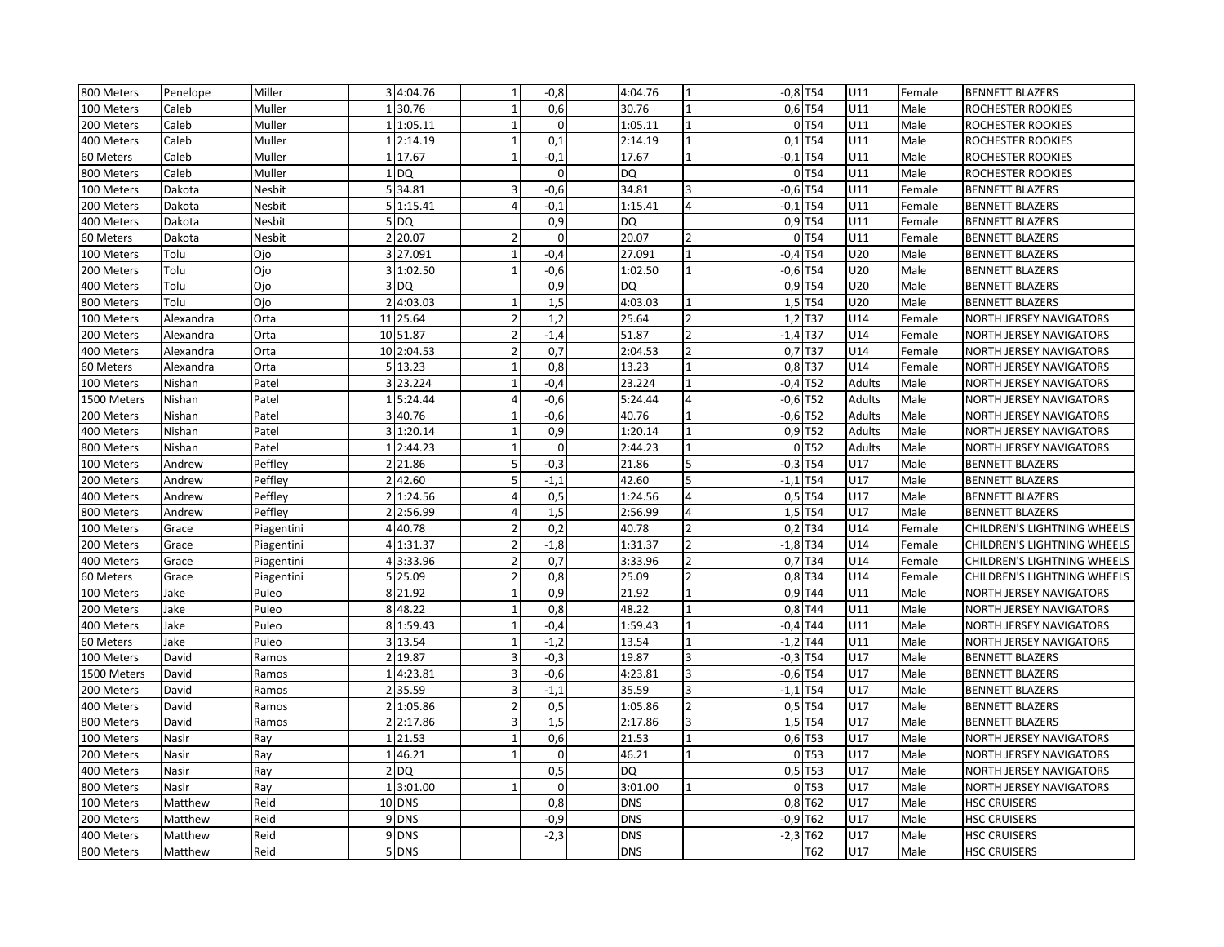| 800 Meters  | Penelope  | Miller     |                | 34:04.76   | $\mathbf{1}$             | $-0,8$      | 4:04.76    |                          | $-0,8$ T54 |                       | U11           | Female | <b>BENNETT BLAZERS</b>         |
|-------------|-----------|------------|----------------|------------|--------------------------|-------------|------------|--------------------------|------------|-----------------------|---------------|--------|--------------------------------|
| 100 Meters  | Caleb     | Muller     |                | 30.76      | $\mathbf{1}$             | 0,6         | 30.76      |                          |            | 0,6 T54               | U11           | Male   | ROCHESTER ROOKIES              |
| 200 Meters  | Caleb     | Muller     |                | 1 1:05.11  | $\overline{1}$           | $\Omega$    | 1:05.11    |                          |            | 0T54                  | U11           | Male   | ROCHESTER ROOKIES              |
| 400 Meters  | Caleb     | Muller     |                | 2:14.19    | $\overline{1}$           | 0,1         | 2:14.19    |                          |            | $0,1$ T54             | U11           | Male   | ROCHESTER ROOKIES              |
| 60 Meters   | Caleb     | Muller     |                | 1 17.67    | 1                        | $-0,1$      | 17.67      |                          |            | $-0,1$ T54            | U11           | Male   | ROCHESTER ROOKIES              |
| 800 Meters  | Caleb     | Muller     |                | $1$ DQ     |                          | $\mathbf 0$ | <b>DQ</b>  |                          |            | 0T54                  | U11           | Male   | ROCHESTER ROOKIES              |
| 100 Meters  | Dakota    | Nesbit     |                | 534.81     | 3                        | $-0,6$      | 34.81      | 3                        |            | $-0,6$ T54            | U11           | Female | <b>BENNETT BLAZERS</b>         |
| 200 Meters  | Dakota    | Nesbit     |                | 5 1:15.41  | 4                        | $-0,1$      | 1:15.41    | $\Delta$                 | $-0,1$ T54 |                       | U11           | Female | <b>BENNETT BLAZERS</b>         |
| 400 Meters  | Dakota    | Nesbit     |                | $5$ DQ     |                          | 0,9         | <b>DQ</b>  |                          |            | $0,9$ T54             | U11           | Female | <b>BENNETT BLAZERS</b>         |
| 60 Meters   | Dakota    | Nesbit     |                | 2 20.07    | $\mathcal{P}$            | $\Omega$    | 20.07      | $\overline{ }$           |            | 0T54                  | U11           | Female | <b>BENNETT BLAZERS</b>         |
| 100 Meters  | Tolu      | Ojo        |                | 3 27.091   | $\mathbf{1}$             | $-0,4$      | 27.091     |                          | $-0,4$ T54 |                       | U20           | Male   | <b>BENNETT BLAZERS</b>         |
| 200 Meters  | Tolu      | Ojo        |                | 3 1:02.50  | $\overline{1}$           | $-0,6$      | 1:02.50    |                          | $-0,6$ T54 |                       | U20           | Male   | <b>BENNETT BLAZERS</b>         |
| 400 Meters  | Tolu      | Ojo        |                | $3$ DQ     |                          | 0,9         | <b>DQ</b>  |                          |            | 0,9 T54               | U20           | Male   | <b>BENNETT BLAZERS</b>         |
| 800 Meters  | Tolu      | Ojo        |                | 2 4:03.03  | $\overline{\phantom{a}}$ | 1,5         | 4:03.03    |                          |            | 1,5 T54               | U20           | Male   | <b>BENNETT BLAZERS</b>         |
| 100 Meters  | Alexandra | Orta       |                | 11 25.64   | $\overline{2}$           | 1,2         | 25.64      |                          |            | $1,2$ T37             | U14           | Female | NORTH JERSEY NAVIGATORS        |
| 200 Meters  | Alexandra | Orta       |                | 10 51.87   | $\overline{2}$           | $-1,4$      | 51.87      | $\mathcal{P}$            | $-1,4$ T37 |                       | U14           | Female | NORTH JERSEY NAVIGATORS        |
| 400 Meters  | Alexandra | Orta       |                | 10 2:04.53 | $\overline{2}$           | 0,7         | 2:04.53    |                          |            | 0,7 T37               | U14           | Female | NORTH JERSEY NAVIGATORS        |
| 60 Meters   | Alexandra | Orta       |                | 5 13.23    | $\overline{\phantom{a}}$ | 0,8         | 13.23      |                          |            | $0,8$ T37             | U14           | Female | NORTH JERSEY NAVIGATORS        |
| 100 Meters  | Nishan    | Patel      |                | 3 23.224   | 1                        | $-0,4$      | 23.224     |                          | $-0,4$ T52 |                       | Adults        | Male   | NORTH JERSEY NAVIGATORS        |
| 1500 Meters | Nishan    | Patel      |                | 5:24.44    | $\Delta$                 | $-0,6$      | 5:24.44    |                          | $-0.6$ T52 |                       | Adults        | Male   | NORTH JERSEY NAVIGATORS        |
| 200 Meters  | Nishan    | Patel      | $\overline{3}$ | 40.76      | $\overline{1}$           | $-0,6$      | 40.76      |                          | $-0.6$ T52 |                       | <b>Adults</b> | Male   | <b>NORTH JERSEY NAVIGATORS</b> |
| 400 Meters  | Nishan    | Patel      |                | 3 1:20.14  | $\overline{\phantom{a}}$ | 0,9         | 1:20.14    |                          |            | $0,9$ T52             | Adults        | Male   | <b>NORTH JERSEY NAVIGATORS</b> |
| 800 Meters  | Nishan    | Patel      |                | 1 2:44.23  | $\overline{\phantom{a}}$ | $\mathbf 0$ | 2:44.23    |                          |            | 0T52                  | <b>Adults</b> | Male   | NORTH JERSEY NAVIGATORS        |
| 100 Meters  | Andrew    | Peffley    |                | 2 21.86    | 5                        | $-0,3$      | 21.86      | 5                        | $-0.3$ T54 |                       | U17           | Male   | <b>BENNETT BLAZERS</b>         |
| 200 Meters  | Andrew    | Peffley    |                | 2 42.60    | 5                        | $-1,1$      | 42.60      | 5                        | $-1,1$ T54 |                       | U17           | Male   | <b>BENNETT BLAZERS</b>         |
| 400 Meters  | Andrew    | Peffley    |                | 2 1:24.56  | $\overline{4}$           | 0,5         | 1:24.56    | 4                        |            | $0.5$ T54             | U17           | Male   | <b>BENNETT BLAZERS</b>         |
| 800 Meters  | Andrew    | Peffley    | ا 2            | 2:56.99    | 4                        | 1,5         | 2:56.99    | 4                        |            | 1,5 T54               | U17           | Male   | <b>BENNETT BLAZERS</b>         |
| 100 Meters  | Grace     | Piagentini | 41             | 40.78      | $\overline{\phantom{a}}$ | 0,2         | 40.78      |                          |            | $0,2$ T34             | U14           | Female | CHILDREN'S LIGHTNING WHEELS    |
| 200 Meters  | Grace     | Piagentini |                | 4 1:31.37  | $\overline{2}$           | $-1,8$      | 1:31.37    | $\overline{\phantom{a}}$ | $-1,8$ T34 |                       | U14           | Female | CHILDREN'S LIGHTNING WHEELS    |
| 400 Meters  | Grace     | Piagentini |                | 4 3:33.96  | $\overline{2}$           | 0,7         | 3:33.96    |                          |            | $0,7$ T34             | U14           | Female | CHILDREN'S LIGHTNING WHEELS    |
| 60 Meters   | Grace     | Piagentini |                | 5 25.09    | $\overline{2}$           | 0,8         | 25.09      |                          |            | 0,8 T34               | U14           | Female | CHILDREN'S LIGHTNING WHEELS    |
| 100 Meters  | Jake      | Puleo      |                | 8 21.92    | $\overline{1}$           | 0,9         | 21.92      |                          |            | $0,9$ T <sub>44</sub> | U11           | Male   | NORTH JERSEY NAVIGATORS        |
| 200 Meters  | Jake      | Puleo      |                | 8 48.22    | $\mathbf{1}$             | 0,8         | 48.22      |                          |            | $0,8$ T44             | U11           | Male   | NORTH JERSEY NAVIGATORS        |
| 400 Meters  | Jake      | Puleo      |                | 8 1:59.43  | $\mathbf{1}$             | $-0,4$      | 1:59.43    |                          |            | $-0,4$ T44            | U11           | Male   | NORTH JERSEY NAVIGATORS        |
| 60 Meters   | Jake      | Puleo      |                | 3 13.54    | $\overline{1}$           | $-1,2$      | 13.54      |                          | $-1,2$ T44 |                       | U11           | Male   | NORTH JERSEY NAVIGATORS        |
| 100 Meters  | David     | Ramos      |                | 2 19.87    | 3                        | $-0,3$      | 19.87      | $\overline{\mathbf{a}}$  | $-0,3$ T54 |                       | U17           | Male   | <b>BENNETT BLAZERS</b>         |
| 1500 Meters | David     | Ramos      |                | 14:23.81   | 3                        | $-0,6$      | 4:23.81    | $\overline{\mathbf{a}}$  | $-0,6$ T54 |                       | U17           | Male   | <b>BENNETT BLAZERS</b>         |
| 200 Meters  | David     | Ramos      |                | 2 35.59    | 3                        | $-1,1$      | 35.59      | $\overline{\mathbf{a}}$  | $-1,1$ T54 |                       | U17           | Male   | <b>BENNETT BLAZERS</b>         |
| 400 Meters  | David     | Ramos      |                | 2 1:05.86  | $\overline{2}$           | 0,5         | 1:05.86    |                          |            | 0,5 T54               | U17           | Male   | <b>BENNETT BLAZERS</b>         |
| 800 Meters  | David     | Ramos      |                | 2:17.86    | 3                        | 1,5         | 2:17.86    |                          |            | 1,5 T54               | U17           | Male   | <b>BENNETT BLAZERS</b>         |
| 100 Meters  | Nasir     | Ray        |                | 1 21.53    | $\overline{1}$           | 0,6         | 21.53      |                          |            | 0,6 T53               | U17           | Male   | NORTH JERSEY NAVIGATORS        |
| 200 Meters  | Nasir     | Ray        |                | 146.21     | $\overline{1}$           | $\pmb{0}$   | 46.21      |                          |            | 0 T53                 | U17           | Male   | NORTH JERSEY NAVIGATORS        |
| 400 Meters  | Nasir     | Ray        |                | 2 DQ       |                          | 0,5         | <b>DQ</b>  |                          |            | $0,5$ T53             | U17           | Male   | NORTH JERSEY NAVIGATORS        |
| 800 Meters  | Nasir     | Ray        |                | 13:01.00   | 1                        | $\Omega$    | 3:01.00    |                          |            | 0 T53                 | U17           | Male   | NORTH JERSEY NAVIGATORS        |
| 100 Meters  | Matthew   | Reid       |                | 10 DNS     |                          | 0,8         | <b>DNS</b> |                          |            | $0,8$ T62             | U17           | Male   | <b>HSC CRUISERS</b>            |
| 200 Meters  | Matthew   | Reid       |                | 9 DNS      |                          | $-0,9$      | <b>DNS</b> |                          | $-0,9$ T62 |                       | U17           | Male   | <b>HSC CRUISERS</b>            |
| 400 Meters  | Matthew   | Reid       |                | 9 DNS      |                          | $-2,3$      | <b>DNS</b> |                          | $-2,3$ T62 |                       | U17           | Male   | <b>HSC CRUISERS</b>            |
| 800 Meters  | Matthew   | Reid       |                | 5 DNS      |                          |             | <b>DNS</b> |                          |            | T62                   | U17           | Male   | <b>HSC CRUISERS</b>            |
|             |           |            |                |            |                          |             |            |                          |            |                       |               |        |                                |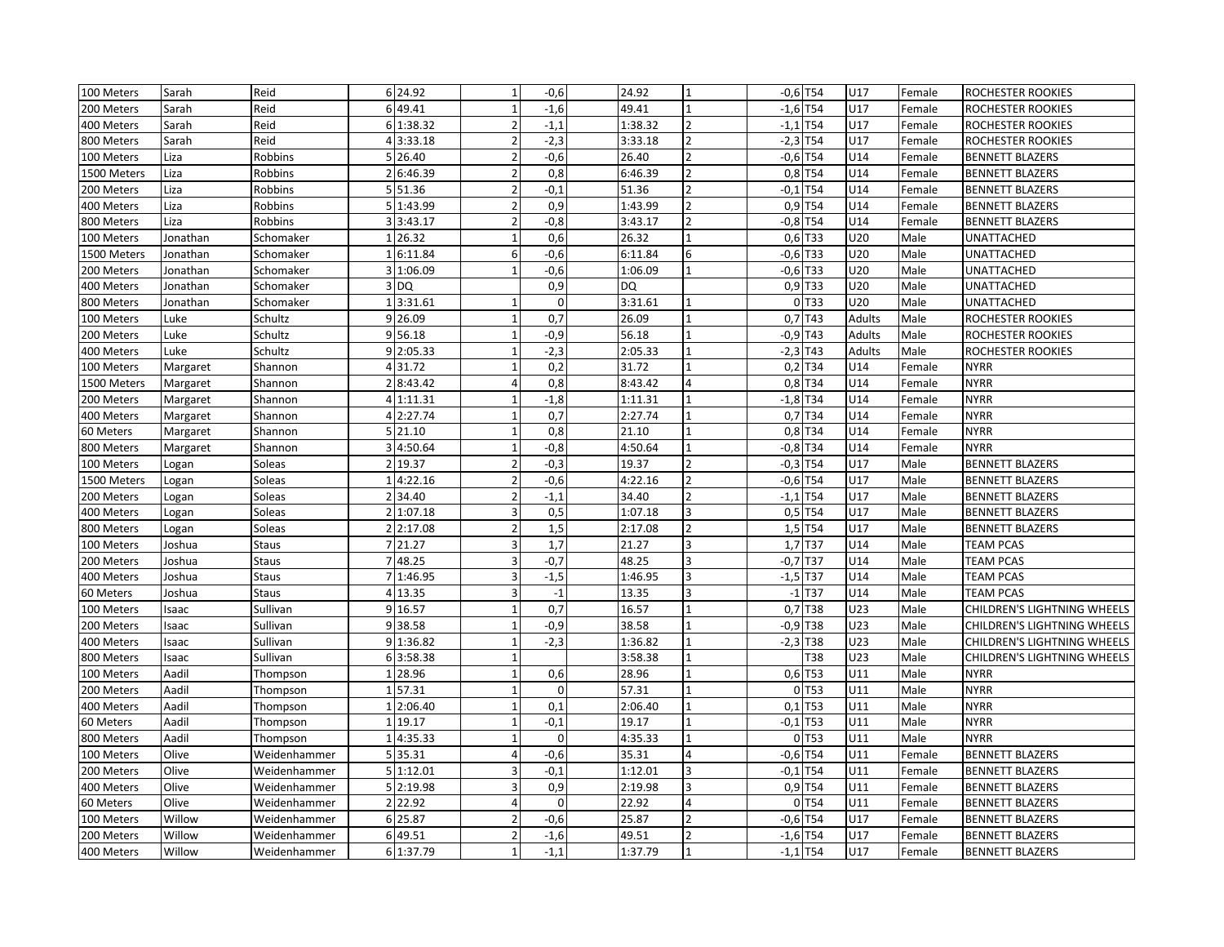| $\mathbf{1}$<br>$-1,6$<br>$-1,6$ T54<br>U17<br>Reid<br>6 49.41<br>49.41<br>$\mathbf{1}$<br>200 Meters<br>Sarah<br>Female<br>ROCHESTER ROOKIES<br>$-1,1$<br>$-1,1$ T54<br>U17<br>Reid<br>6 1:38.32<br>1:38.32<br>400 Meters<br>Sarah<br>ROCHESTER ROOKIES<br>Female<br>$-2,3$<br>$\overline{z}$<br>U17<br>Reid<br>4 3:33.18<br>$\overline{\phantom{a}}$<br>3:33.18<br>$-2,3$ T54<br>800 Meters<br>Sarah<br>Female<br>ROCHESTER ROOKIES |                             |
|---------------------------------------------------------------------------------------------------------------------------------------------------------------------------------------------------------------------------------------------------------------------------------------------------------------------------------------------------------------------------------------------------------------------------------------|-----------------------------|
|                                                                                                                                                                                                                                                                                                                                                                                                                                       |                             |
|                                                                                                                                                                                                                                                                                                                                                                                                                                       |                             |
|                                                                                                                                                                                                                                                                                                                                                                                                                                       |                             |
| 5 26.40<br>$-0,6$<br>26.40<br>$-0,6$ T54<br>100 Meters<br>Liza<br>Robbins<br>$\overline{\phantom{0}}$<br>U14<br><b>BENNETT BLAZERS</b><br>2<br>Female                                                                                                                                                                                                                                                                                 |                             |
| $0,8$ T54<br>Robbins<br>2 6:46.39<br>$\overline{2}$<br>0,8<br>6:46.39<br>$\overline{\phantom{a}}$<br>U14<br>1500 Meters<br>Liza<br>Female<br><b>BENNETT BLAZERS</b>                                                                                                                                                                                                                                                                   |                             |
| $-0,1$ T54<br>5 51.36<br>$-0,1$<br>51.36<br>U14<br>200 Meters<br>Liza<br>Robbins<br>$\overline{\phantom{0}}$<br><b>BENNETT BLAZERS</b><br>$\mathcal{P}$<br>Female                                                                                                                                                                                                                                                                     |                             |
| 0,9<br>5 1:43.99<br>1:43.99<br>0,9 T54<br>U14<br>400 Meters<br>Liza<br>Robbins<br>$\overline{2}$<br>Female<br><b>BENNETT BLAZERS</b>                                                                                                                                                                                                                                                                                                  |                             |
| 3 3:43.17<br>$-0,8$<br>3:43.17<br>$\overline{2}$<br>$-0,8$ T54<br>U14<br>800 Meters<br>Liza<br>Robbins<br>Female<br><b>BENNETT BLAZERS</b>                                                                                                                                                                                                                                                                                            |                             |
| 0,6<br>26.32<br>$0,6$ T33<br>26.32<br>U20<br>Male<br>UNATTACHED<br>100 Meters<br>Jonathan<br>Schomaker<br>$1\vert$<br>$\mathbf{1}$                                                                                                                                                                                                                                                                                                    |                             |
| $-0,6$ T33<br>1500 Meters<br>6<br>$-0,6$<br>6:11.84<br>6<br>U20<br>Male<br><b>UNATTACHED</b><br>Jonathan<br>Schomaker<br>16:11.84                                                                                                                                                                                                                                                                                                     |                             |
| $-0,6$ T33<br>1:06.09<br>$-0,6$<br>U20<br>Male<br>Schomaker<br>1:06.09<br>UNATTACHED<br>200 Meters<br>Jonathan<br>31                                                                                                                                                                                                                                                                                                                  |                             |
| 0,9<br><b>DQ</b><br>0,9 T33<br>U20<br>400 Meters<br>Schomaker<br>3 DQ<br>Male<br>UNATTACHED<br>Jonathan                                                                                                                                                                                                                                                                                                                               |                             |
| 0 T33<br>1 3:31.61<br>$\mathbf 0$<br>U20<br>800 Meters<br>Schomaker<br>3:31.61<br>Male<br>UNATTACHED<br>Jonathan<br>$\mathbf{1}$                                                                                                                                                                                                                                                                                                      |                             |
| 9 26.09<br>0,7<br>26.09<br>0,7 T43<br><b>Adults</b><br>Male<br>100 Meters<br>Luke<br>Schultz<br>ROCHESTER ROOKIES<br>$\mathbf{1}$                                                                                                                                                                                                                                                                                                     |                             |
| $-0,9$ T43<br>9 56.18<br>$-0,9$<br>56.18<br>Luke<br>Schultz<br><b>Adults</b><br>Male<br>200 Meters<br>ROCHESTER ROOKIES                                                                                                                                                                                                                                                                                                               |                             |
| $-2,3$<br>$-2,3$ T43<br><b>Adults</b><br>Male<br>400 Meters<br>Luke<br>Schultz<br>9 2:05.33<br>2:05.33<br>ROCHESTER ROOKIES                                                                                                                                                                                                                                                                                                           |                             |
| 0,2<br>$0,2$ T34<br>100 Meters<br>Margaret<br>Shannon<br>31.72<br>31.72<br>U14<br>Female<br><b>NYRR</b><br>4                                                                                                                                                                                                                                                                                                                          |                             |
| 8:43.42<br>0,8<br>8:43.42<br>$0,8$ T34<br>U14<br><b>NYRR</b><br>1500 Meters<br>Margaret<br>$\overline{2}$<br>Female<br>Shannon<br>4                                                                                                                                                                                                                                                                                                   |                             |
| $-1,8$ T34<br>$-1,8$<br>1:11.31<br>U14<br><b>NYRR</b><br>200 Meters<br>Margaret<br>Shannon<br>1:11.31<br>$\mathbf{1}$<br>$\mathbf{1}$<br>Female<br>$\overline{4}$                                                                                                                                                                                                                                                                     |                             |
| 0,7<br>$0,7$ T34<br>2:27.74<br>2:27.74<br>U14<br><b>NYRR</b><br>Margaret<br>400 Meters<br>Shannon<br>4<br>Female                                                                                                                                                                                                                                                                                                                      |                             |
| 0,8<br>21.10<br>$0,8$ T34<br>U14<br>60 Meters<br>5 21.10<br>Female<br><b>NYRR</b><br>Margaret<br>Shannon                                                                                                                                                                                                                                                                                                                              |                             |
| 3 4:50.64<br>$-0,8$<br>4:50.64<br>$-0,8$ T34<br>U14<br><b>NYRR</b><br>800 Meters<br>Margaret<br>Shannon<br>Female<br>$\mathbf{1}$                                                                                                                                                                                                                                                                                                     |                             |
| 19.37<br>$-0,3$<br>19.37<br>$-0,3$ T54<br>U17<br><b>BENNETT BLAZERS</b><br>100 Meters<br>$\overline{2}$<br>$\overline{2}$<br>$\overline{2}$<br>Male<br>Logan<br>Soleas                                                                                                                                                                                                                                                                |                             |
| $-0,6$<br>$-0,6$ T54<br>U17<br>1500 Meters<br>Soleas<br>4:22.16<br>$\overline{2}$<br>4:22.16<br>$\overline{2}$<br>Male<br><b>BENNETT BLAZERS</b><br>$1\vert$<br>Logan                                                                                                                                                                                                                                                                 |                             |
| 34.40<br>$-1,1$<br>34.40<br>$-1,1$ T54<br>U17<br>Soleas<br>Male<br>200 Meters<br>Logan<br>$\overline{2}$<br><b>BENNETT BLAZERS</b>                                                                                                                                                                                                                                                                                                    |                             |
| 0,5<br>$0,5$ T54<br>U17<br>Soleas<br>2 1:07.18<br>1:07.18<br>$\overline{3}$<br>Male<br>400 Meters<br>Logan<br>3<br><b>BENNETT BLAZERS</b>                                                                                                                                                                                                                                                                                             |                             |
| 1,5<br>2 2:17.08<br>$\overline{2}$<br>2:17.08<br>$\overline{z}$<br>$1,5$ T54<br>U17<br>Male<br>800 Meters<br>Soleas<br><b>BENNETT BLAZERS</b><br>Logan                                                                                                                                                                                                                                                                                |                             |
| $1,7$ T37<br>7 21.27<br>$\overline{\mathbf{a}}$<br>1,7<br>21.27<br><sub>3</sub><br>U14<br>Male<br>100 Meters<br>Joshua<br>Staus<br><b>TEAM PCAS</b>                                                                                                                                                                                                                                                                                   |                             |
| 748.25<br>$-0,7$<br>$-0,7$ T37<br>48.25<br>U14<br>Male<br>Staus<br><b>TEAM PCAS</b><br>200 Meters<br>Joshua                                                                                                                                                                                                                                                                                                                           |                             |
| $-1,5$<br>$-1,5$ T37<br>U14<br>1:46.95<br>1:46.95<br>3<br>Male<br><b>TEAM PCAS</b><br>400 Meters<br>Joshua<br><b>Staus</b><br>$\overline{7}$                                                                                                                                                                                                                                                                                          |                             |
| $-1$<br>$-1$ T <sub>37</sub><br>4 13.35<br>3<br>13.35<br>U14<br>Male<br><b>TEAM PCAS</b><br>60 Meters<br>Joshua<br><b>Staus</b><br>3                                                                                                                                                                                                                                                                                                  |                             |
| 0,7<br>9 16.57<br>16.57<br>0,7 T38<br>U23<br>100 Meters<br>Sullivan<br>Male<br>Isaac<br>$\mathbf{1}$                                                                                                                                                                                                                                                                                                                                  | CHILDREN'S LIGHTNING WHEELS |
| 938.58<br>$-0,9$<br>38.58<br>$-0,9$ T38<br>U23<br>Male<br>200 Meters<br>Sullivan<br>$\mathbf{1}$<br>Isaac<br>$\mathbf{1}$                                                                                                                                                                                                                                                                                                             | CHILDREN'S LIGHTNING WHEELS |
| $-2,3$<br>9 1:36.82<br>1:36.82<br>$-2,3$ T38<br>U23<br>Sullivan<br>Male<br>400 Meters<br>Isaac                                                                                                                                                                                                                                                                                                                                        | CHILDREN'S LIGHTNING WHEELS |
| 63:58.38<br>3:58.38<br>T38<br>U23<br>Male<br>800 Meters<br>Isaac<br>Sullivan                                                                                                                                                                                                                                                                                                                                                          | CHILDREN'S LIGHTNING WHEELS |
| Aadil<br>28.96<br>0,6<br>28.96<br>$0,6$ T53<br>U11<br>Male<br><b>NYRR</b><br>100 Meters<br>Thompson<br>$\mathbf{1}$                                                                                                                                                                                                                                                                                                                   |                             |
| $0$ T <sub>53</sub><br>200 Meters<br>Aadil<br>157.31<br>$\mathbf 0$<br>57.31<br>U11<br>Male<br><b>NYRR</b><br>Thompson                                                                                                                                                                                                                                                                                                                |                             |
| 0,1<br>$0,1$ T53<br>U11<br>Male<br><b>NYRR</b><br>Aadil<br>2:06.40<br>$\overline{1}$<br>2:06.40<br>400 Meters<br>Thompson<br>$\mathbf{1}$                                                                                                                                                                                                                                                                                             |                             |
| 19.17<br>$-0,1$<br>19.17<br>$-0,1$ T53<br>U11<br>Male<br>Aadil<br><b>NYRR</b><br>60 Meters<br>Thompson<br>1                                                                                                                                                                                                                                                                                                                           |                             |
| 0 T53<br>U11<br>Aadil<br>4:35.33<br>$\mathbf 0$<br>4:35.33<br>Male<br><b>NYRR</b><br>800 Meters<br>Thompson<br>$\mathbf{1}$<br>-1                                                                                                                                                                                                                                                                                                     |                             |
| $-0,6$<br>35.31<br>$-0,6$ T54<br>U11<br>100 Meters<br>Olive<br>Weidenhammer<br>5 35.31<br><b>BENNETT BLAZERS</b><br>4<br>Female<br>$\overline{A}$                                                                                                                                                                                                                                                                                     |                             |
| $-0,1$<br>$-0,1$ T54<br>Olive<br>5 1:12.01<br>3<br>1:12.01<br>3<br>U11<br><b>BENNETT BLAZERS</b><br>200 Meters<br>Female<br>Weidenhammer                                                                                                                                                                                                                                                                                              |                             |
| 0,9<br>$0,9$ T54<br>Olive<br>5 2:19.98<br>3<br>2:19.98<br>l3<br>U11<br>400 Meters<br>Weidenhammer<br>Female<br><b>BENNETT BLAZERS</b>                                                                                                                                                                                                                                                                                                 |                             |
| $\mathbf 0$<br>0T54<br>Olive<br>2 22.92<br>22.92<br>$\Delta$<br>U11<br>60 Meters<br>Weidenhammer<br>Female<br><b>BENNETT BLAZERS</b>                                                                                                                                                                                                                                                                                                  |                             |
| $\overline{2}$<br>Willow<br>6 25.87<br>$-0,6$<br>25.87<br>$-0,6$ T54<br>U17<br>100 Meters<br>Weidenhammer<br>Female<br><b>BENNETT BLAZERS</b>                                                                                                                                                                                                                                                                                         |                             |
| 6 49.51<br>49.51<br>$-1,6$ T54<br>U17<br>200 Meters<br>Willow<br>$-1,6$<br>$\overline{2}$<br><b>BENNETT BLAZERS</b><br>Weidenhammer<br>Female                                                                                                                                                                                                                                                                                         |                             |
| $-1,1$<br>$-1,1$ T54<br>U17<br>Willow<br>6 1:37.79<br>1:37.79<br>400 Meters<br>Weidenhammer<br>Female<br><b>BENNETT BLAZERS</b>                                                                                                                                                                                                                                                                                                       |                             |